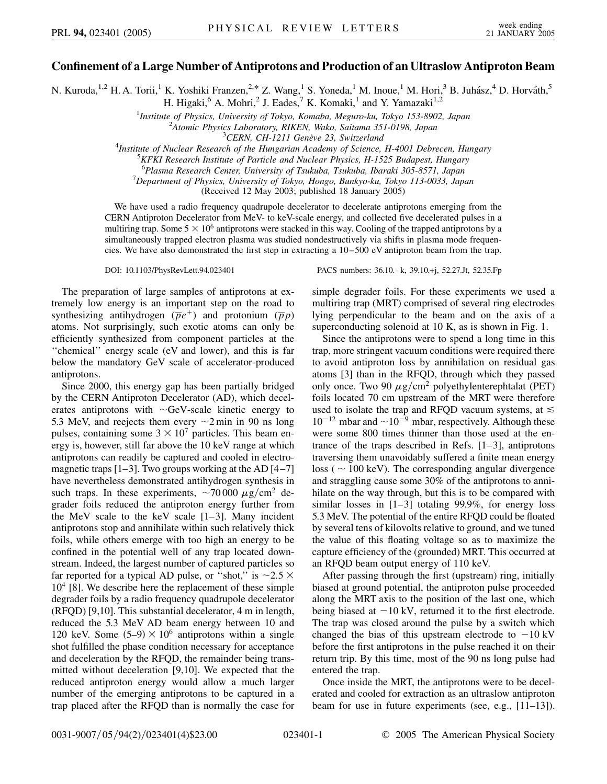## **Confinement of a Large Number of Antiprotons and Production of an Ultraslow Antiproton Beam**

N. Kuroda,<sup>1,2</sup> H. A. Torii,<sup>1</sup> K. Yoshiki Franzen,<sup>2,\*</sup> Z. Wang,<sup>1</sup> S. Yoneda,<sup>1</sup> M. Inoue,<sup>1</sup> M. Hori,<sup>3</sup> B. Juhász,<sup>4</sup> D. Horváth,<sup>5</sup> H. Higaki,<sup>6</sup> A. Mohri,<sup>2</sup> J. Eades,<sup>7</sup> K. Komaki,<sup>1</sup> and Y. Yamazaki<sup>1,2</sup>

<sup>1</sup>*Institute of Physics, University of Tokyo, Komaba, Meguro-ku, Tokyo 153-8902, Japan*  $\frac{2 \text{ A}}{2 \text{ A}}$ 

<sup>2</sup> Atomic Physics Laboratory, RIKEN, Wako, Saitama 351-0198, Japan<br><sup>3</sup> CERN, CH-1211 Genève 23, Switzerland

<sup>3</sup>CERN, CH-1211 Genève 23, Switzerland<sup>3</sup><br><sup>4</sup>Institute of Nuclear Besearch of the Hungarian Academy of Science

*Institute of Nuclear Research of the Hungarian Academy of Science, H-4001 Debrecen, Hungary*<br><sup>5</sup>*KEKI Research Institute of Particle and Nuclear Physics, H 1525 Budgpest, Hungary* 

<sup>5</sup> KFKI Research Institute of Particle and Nuclear Physics, H-1525 Budapest, Hungary

<sup>6</sup> Plasma Research Center, University of Tsukuba, Tsukuba, Ibaraki 305-8571, Japan<br><sup>7</sup> Department of Physics, University of Tehyo, Hongo, Bunkyo ku, Tehyo, 113,0033, Jap

*Department of Physics, University of Tokyo, Hongo, Bunkyo-ku, Tokyo 113-0033, Japan*

(Received 12 May 2003; published 18 January 2005)

We have used a radio frequency quadrupole decelerator to decelerate antiprotons emerging from the CERN Antiproton Decelerator from MeV- to keV-scale energy, and collected five decelerated pulses in a multiring trap. Some  $5 \times 10^6$  antiprotons were stacked in this way. Cooling of the trapped antiprotons by a simultaneously trapped electron plasma was studied nondestructively via shifts in plasma mode frequencies. We have also demonstrated the first step in extracting a 10–500 eV antiproton beam from the trap.

DOI: 10.1103/PhysRevLett.94.023401 PACS numbers: 36.10.–k, 39.10.+j, 52.27.Jt, 52.35.Fp

The preparation of large samples of antiprotons at extremely low energy is an important step on the road to synthesizing antihydrogen ( $\overline{p}e^+$ ) and protonium ( $\overline{p}p$ ) atoms. Not surprisingly, such exotic atoms can only be efficiently synthesized from component particles at the ''chemical'' energy scale (eV and lower), and this is far below the mandatory GeV scale of accelerator-produced antiprotons.

Since 2000, this energy gap has been partially bridged by the CERN Antiproton Decelerator (AD), which decelerates antiprotons with  $\sim$ GeV-scale kinetic energy to 5.3 MeV, and reejects them every  $\sim$ 2 min in 90 ns long pulses, containing some  $3 \times 10^7$  particles. This beam energy is, however, still far above the 10 keV range at which antiprotons can readily be captured and cooled in electromagnetic traps  $[1-3]$ . Two groups working at the AD  $[4-7]$ have nevertheless demonstrated antihydrogen synthesis in such traps. In these experiments,  $\sim$ 70 000  $\mu$ g/cm<sup>2</sup> degrader foils reduced the antiproton energy further from the MeV scale to the keV scale [1–3]. Many incident antiprotons stop and annihilate within such relatively thick foils, while others emerge with too high an energy to be confined in the potential well of any trap located downstream. Indeed, the largest number of captured particles so far reported for a typical AD pulse, or "shot," is  $\sim$ 2.5  $\times$  $10<sup>4</sup>$  [8]. We describe here the replacement of these simple degrader foils by a radio frequency quadrupole decelerator (RFQD) [9,10]. This substantial decelerator, 4 m in length, reduced the 5.3 MeV AD beam energy between 10 and 120 keV. Some  $(5-9) \times 10^6$  antiprotons within a single shot fulfilled the phase condition necessary for acceptance and deceleration by the RFQD, the remainder being transmitted without deceleration [9,10]. We expected that the reduced antiproton energy would allow a much larger number of the emerging antiprotons to be captured in a trap placed after the RFQD than is normally the case for simple degrader foils. For these experiments we used a multiring trap (MRT) comprised of several ring electrodes lying perpendicular to the beam and on the axis of a superconducting solenoid at 10 K, as is shown in Fig. 1.

Since the antiprotons were to spend a long time in this trap, more stringent vacuum conditions were required there to avoid antiproton loss by annihilation on residual gas atoms [3] than in the RFQD, through which they passed only once. Two 90  $\mu$ g/cm<sup>2</sup> polyethylenterephtalat (PET) foils located 70 cm upstream of the MRT were therefore used to isolate the trap and RFOD vacuum systems, at  $\leq$  $10^{-12}$  mbar and  $\sim$  10<sup>-9</sup> mbar, respectively. Although these were some 800 times thinner than those used at the entrance of the traps described in Refs. [1–3], antiprotons traversing them unavoidably suffered a finite mean energy loss ( $\sim 100 \text{ keV}$ ). The corresponding angular divergence and straggling cause some 30% of the antiprotons to annihilate on the way through, but this is to be compared with similar losses in [1–3] totaling 99.9%, for energy loss 5.3 MeV. The potential of the entire RFQD could be floated by several tens of kilovolts relative to ground, and we tuned the value of this floating voltage so as to maximize the capture efficiency of the (grounded) MRT. This occurred at an RFQD beam output energy of 110 keV.

After passing through the first (upstream) ring, initially biased at ground potential, the antiproton pulse proceeded along the MRT axis to the position of the last one, which being biased at  $-10 \text{ kV}$ , returned it to the first electrode. The trap was closed around the pulse by a switch which changed the bias of this upstream electrode to  $-10 \text{ kV}$ before the first antiprotons in the pulse reached it on their return trip. By this time, most of the 90 ns long pulse had entered the trap.

Once inside the MRT, the antiprotons were to be decelerated and cooled for extraction as an ultraslow antiproton beam for use in future experiments (see, e.g., [11–13]).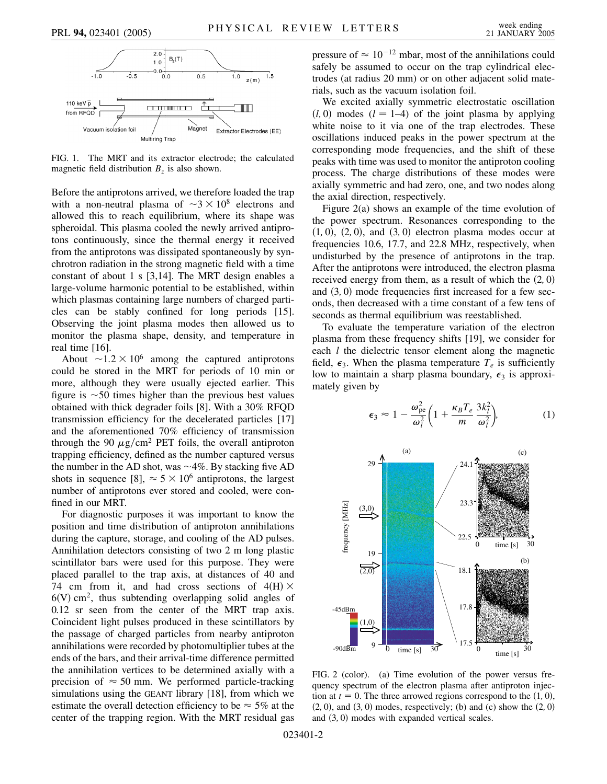

FIG. 1. The MRT and its extractor electrode; the calculated magnetic field distribution  $B<sub>z</sub>$  is also shown.

Before the antiprotons arrived, we therefore loaded the trap with a non-neutral plasma of  $\sim 3 \times 10^8$  electrons and allowed this to reach equilibrium, where its shape was spheroidal. This plasma cooled the newly arrived antiprotons continuously, since the thermal energy it received from the antiprotons was dissipated spontaneously by synchrotron radiation in the strong magnetic field with a time constant of about 1 s [3,14]. The MRT design enables a large-volume harmonic potential to be established, within which plasmas containing large numbers of charged particles can be stably confined for long periods [15]. Observing the joint plasma modes then allowed us to monitor the plasma shape, density, and temperature in real time [16].

About  $\sim$ 1.2  $\times$  10<sup>6</sup> among the captured antiprotons could be stored in the MRT for periods of 10 min or more, although they were usually ejected earlier. This figure is  $\sim$  50 times higher than the previous best values obtained with thick degrader foils [8]. With a 30% RFQD transmission efficiency for the decelerated particles [17] and the aforementioned 70% efficiency of transmission through the 90  $\mu$ g/cm<sup>2</sup> PET foils, the overall antiproton trapping efficiency, defined as the number captured versus the number in the AD shot, was  $\sim$ 4%. By stacking five AD shots in sequence [8],  $\approx$  5  $\times$  10<sup>6</sup> antiprotons, the largest number of antiprotons ever stored and cooled, were confined in our MRT.

For diagnostic purposes it was important to know the position and time distribution of antiproton annihilations during the capture, storage, and cooling of the AD pulses. Annihilation detectors consisting of two 2 m long plastic scintillator bars were used for this purpose. They were placed parallel to the trap axis, at distances of 40 and 74 cm from it, and had cross sections of  $4(H) \times$  $6(V)$  cm<sup>2</sup>, thus subtending overlapping solid angles of 0.12 sr seen from the center of the MRT trap axis. Coincident light pulses produced in these scintillators by the passage of charged particles from nearby antiproton annihilations were recorded by photomultiplier tubes at the ends of the bars, and their arrival-time difference permitted the annihilation vertices to be determined axially with a precision of  $\approx$  50 mm. We performed particle-tracking simulations using the GEANT library [18], from which we estimate the overall detection efficiency to be  $\approx$  5% at the center of the trapping region. With the MRT residual gas pressure of  $\approx 10^{-12}$  mbar, most of the annihilations could safely be assumed to occur on the trap cylindrical electrodes (at radius 20 mm) or on other adjacent solid materials, such as the vacuum isolation foil.

We excited axially symmetric electrostatic oscillation  $(l, 0)$  modes  $(l = 1-4)$  of the joint plasma by applying white noise to it via one of the trap electrodes. These oscillations induced peaks in the power spectrum at the corresponding mode frequencies, and the shift of these peaks with time was used to monitor the antiproton cooling process. The charge distributions of these modes were axially symmetric and had zero, one, and two nodes along the axial direction, respectively.

Figure 2(a) shows an example of the time evolution of the power spectrum. Resonances corresponding to the  $(1, 0)$ ,  $(2, 0)$ , and  $(3, 0)$  electron plasma modes occur at frequencies 10.6, 17.7, and 22.8 MHz, respectively, when undisturbed by the presence of antiprotons in the trap. After the antiprotons were introduced, the electron plasma received energy from them, as a result of which the  $(2, 0)$ and  $(3, 0)$  mode frequencies first increased for a few seconds, then decreased with a time constant of a few tens of seconds as thermal equilibrium was reestablished.

To evaluate the temperature variation of the electron plasma from these frequency shifts [19], we consider for each *l* the dielectric tensor element along the magnetic field,  $\epsilon_3$ . When the plasma temperature  $T_e$  is sufficiently low to maintain a sharp plasma boundary,  $\epsilon_3$  is approximately given by

$$
\epsilon_3 \approx 1 - \frac{\omega_{\rm pe}^2}{\omega_l^2} \left( 1 + \frac{\kappa_B T_e}{m} \frac{3k_l^2}{\omega_l^2} \right),\tag{1}
$$



FIG. 2 (color). (a) Time evolution of the power versus frequency spectrum of the electron plasma after antiproton injection at  $t = 0$ . The three arrowed regions correspond to the  $(1, 0)$ ,  $(2, 0)$ , and  $(3, 0)$  modes, respectively; (b) and (c) show the  $(2, 0)$ and  $(3, 0)$  modes with expanded vertical scales.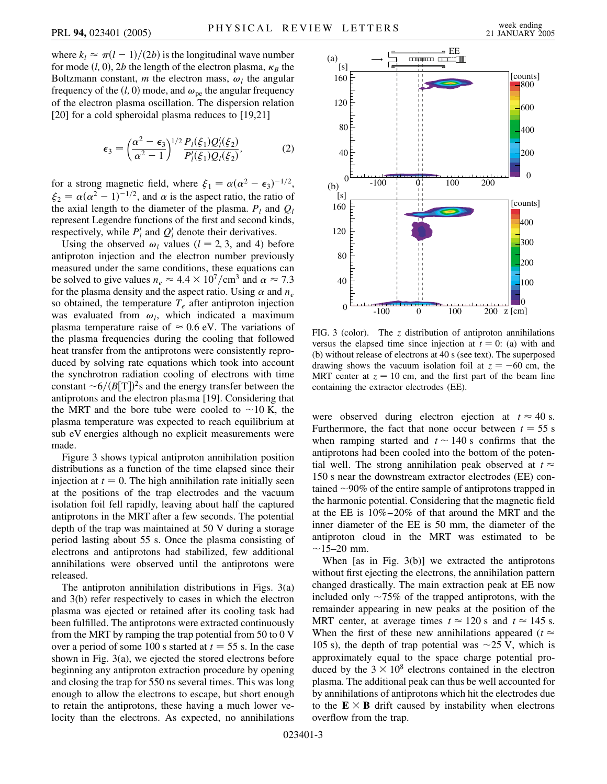where  $k_l \approx \pi (l-1)/(2b)$  is the longitudinal wave number for mode  $(l, 0)$ , 2*b* the length of the electron plasma,  $\kappa_B$  the Boltzmann constant, *m* the electron mass,  $\omega_l$  the angular frequency of the  $(l, 0)$  mode, and  $\omega_{pe}$  the angular frequency of the electron plasma oscillation. The dispersion relation [20] for a cold spheroidal plasma reduces to [19,21]

$$
\epsilon_3 = \left(\frac{\alpha^2 - \epsilon_3}{\alpha^2 - 1}\right)^{1/2} \frac{P_l(\xi_1) Q'_l(\xi_2)}{P'_l(\xi_1) Q_l(\xi_2)},\tag{2}
$$

for a strong magnetic field, where  $\xi_1 = \alpha(\alpha^2 - \epsilon_3)^{-1/2}$ ,  $\xi_2 = \alpha(\alpha^2 - 1)^{-1/2}$ , and  $\alpha$  is the aspect ratio, the ratio of the axial length to the diameter of the plasma.  $P_l$  and  $Q_l$ represent Legendre functions of the first and second kinds, respectively, while  $P'_l$  and  $Q'_l$  denote their derivatives.

Using the observed  $\omega_l$  values ( $l = 2, 3,$  and 4) before antiproton injection and the electron number previously measured under the same conditions, these equations can be solved to give values  $n_e \approx 4.4 \times 10^7$ /cm<sup>3</sup> and  $\alpha \approx 7.3$ for the plasma density and the aspect ratio. Using  $\alpha$  and  $n_e$ so obtained, the temperature  $T_e$  after antiproton injection was evaluated from  $\omega_l$ , which indicated a maximum plasma temperature raise of  $\approx 0.6$  eV. The variations of the plasma frequencies during the cooling that followed heat transfer from the antiprotons were consistently reproduced by solving rate equations which took into account the synchrotron radiation cooling of electrons with time constant  $\sim 6/(B[T])^2$ s and the energy transfer between the antiprotons and the electron plasma [19]. Considering that the MRT and the bore tube were cooled to  $\sim$ 10 K, the plasma temperature was expected to reach equilibrium at sub eV energies although no explicit measurements were made.

Figure 3 shows typical antiproton annihilation position distributions as a function of the time elapsed since their injection at  $t = 0$ . The high annihilation rate initially seen at the positions of the trap electrodes and the vacuum isolation foil fell rapidly, leaving about half the captured antiprotons in the MRT after a few seconds. The potential depth of the trap was maintained at 50 V during a storage period lasting about 55 s. Once the plasma consisting of electrons and antiprotons had stabilized, few additional annihilations were observed until the antiprotons were released.

The antiproton annihilation distributions in Figs. 3(a) and 3(b) refer respectively to cases in which the electron plasma was ejected or retained after its cooling task had been fulfilled. The antiprotons were extracted continuously from the MRT by ramping the trap potential from 50 to 0 V over a period of some 100 s started at  $t = 55$  s. In the case shown in Fig. 3(a), we ejected the stored electrons before beginning any antiproton extraction procedure by opening and closing the trap for 550 ns several times. This was long enough to allow the electrons to escape, but short enough to retain the antiprotons, these having a much lower velocity than the electrons. As expected, no annihilations



FIG. 3 (color). The *z* distribution of antiproton annihilations versus the elapsed time since injection at  $t = 0$ : (a) with and (b) without release of electrons at 40 s (see text). The superposed drawing shows the vacuum isolation foil at  $z = -60$  cm, the MRT center at  $z = 10$  cm, and the first part of the beam line containing the extractor electrodes (EE).

were observed during electron ejection at  $t \approx 40$  s. Furthermore, the fact that none occur between  $t = 55$  s when ramping started and  $t \sim 140$  s confirms that the antiprotons had been cooled into the bottom of the potential well. The strong annihilation peak observed at  $t \approx$ 150 s near the downstream extractor electrodes (EE) contained  $\sim$ 90% of the entire sample of antiprotons trapped in the harmonic potential. Considering that the magnetic field at the EE is 10%–20% of that around the MRT and the inner diameter of the EE is 50 mm, the diameter of the antiproton cloud in the MRT was estimated to be  $~15-20$  mm.

When [as in Fig. 3(b)] we extracted the antiprotons without first ejecting the electrons, the annihilation pattern changed drastically. The main extraction peak at EE now included only  $\sim 75\%$  of the trapped antiprotons, with the remainder appearing in new peaks at the position of the MRT center, at average times  $t \approx 120$  s and  $t \approx 145$  s. When the first of these new annihilations appeared ( $t \approx$ 105 s), the depth of trap potential was  $\sim$ 25 V, which is approximately equal to the space charge potential produced by the  $3 \times 10^8$  electrons contained in the electron plasma. The additional peak can thus be well accounted for by annihilations of antiprotons which hit the electrodes due to the  $E \times B$  drift caused by instability when electrons overflow from the trap.